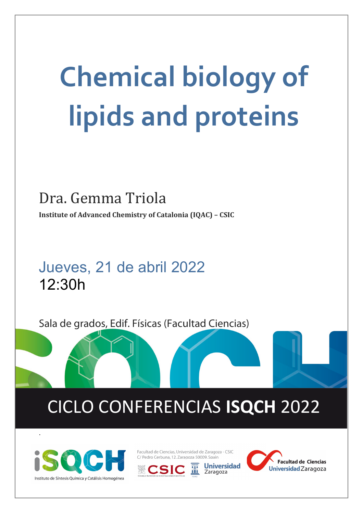# **Chemical biology of lipids and proteins**

### Dra. Gemma Triola

**Institute of Advanced Chemistry of Catalonia (IQAC) – CSIC**

## Jueves, 21 de abril 2022 12:30h

Sala de grados, Edif. Físicas (Facultad Ciencias)

# CICLO CONFERENCIAS **ISQCH** 2022



.

Facultad de Ciencias, Universidad de Zaragoza - CSIC C/ Pedro Cerbuna, 12. Zaragoza 50009. Spain